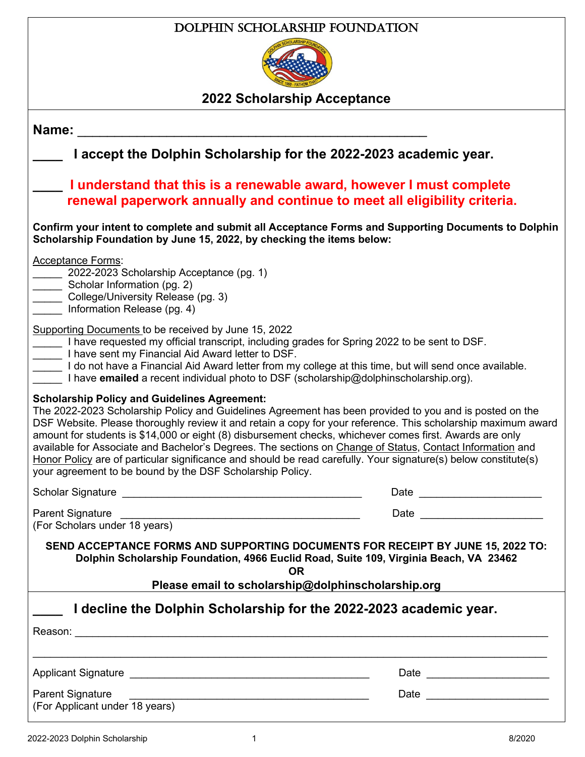### Dolphin Scholarship Foundation



**2022 Scholarship Acceptance**

| Name: Name:                                                                                                                                                                                                                                                                                                                                                                                                                                                                                                                                                                                                                                                                              |                                                                                                                                                                                                                                |
|------------------------------------------------------------------------------------------------------------------------------------------------------------------------------------------------------------------------------------------------------------------------------------------------------------------------------------------------------------------------------------------------------------------------------------------------------------------------------------------------------------------------------------------------------------------------------------------------------------------------------------------------------------------------------------------|--------------------------------------------------------------------------------------------------------------------------------------------------------------------------------------------------------------------------------|
| I accept the Dolphin Scholarship for the 2022-2023 academic year.                                                                                                                                                                                                                                                                                                                                                                                                                                                                                                                                                                                                                        |                                                                                                                                                                                                                                |
| I understand that this is a renewable award, however I must complete<br>renewal paperwork annually and continue to meet all eligibility criteria.                                                                                                                                                                                                                                                                                                                                                                                                                                                                                                                                        |                                                                                                                                                                                                                                |
| Confirm your intent to complete and submit all Acceptance Forms and Supporting Documents to Dolphin<br>Scholarship Foundation by June 15, 2022, by checking the items below:                                                                                                                                                                                                                                                                                                                                                                                                                                                                                                             |                                                                                                                                                                                                                                |
| <b>Acceptance Forms:</b><br>2022-2023 Scholarship Acceptance (pg. 1)<br>Scholar Information (pg. 2)<br>College/University Release (pg. 3)<br>Information Release (pg. 4)                                                                                                                                                                                                                                                                                                                                                                                                                                                                                                                 |                                                                                                                                                                                                                                |
| Supporting Documents to be received by June 15, 2022<br>I have requested my official transcript, including grades for Spring 2022 to be sent to DSF.<br>Let I have sent my Financial Aid Award letter to DSF.<br>I do not have a Financial Aid Award letter from my college at this time, but will send once available.<br>I have emailed a recent individual photo to DSF (scholarship@dolphinscholarship.org).                                                                                                                                                                                                                                                                         |                                                                                                                                                                                                                                |
| <b>Scholarship Policy and Guidelines Agreement:</b><br>The 2022-2023 Scholarship Policy and Guidelines Agreement has been provided to you and is posted on the<br>DSF Website. Please thoroughly review it and retain a copy for your reference. This scholarship maximum award<br>amount for students is \$14,000 or eight (8) disbursement checks, whichever comes first. Awards are only<br>available for Associate and Bachelor's Degrees. The sections on Change of Status, Contact Information and<br>Honor Policy are of particular significance and should be read carefully. Your signature(s) below constitute(s)<br>your agreement to be bound by the DSF Scholarship Policy. |                                                                                                                                                                                                                                |
|                                                                                                                                                                                                                                                                                                                                                                                                                                                                                                                                                                                                                                                                                          | Date <u>_______________</u>                                                                                                                                                                                                    |
| <b>Parent Signature</b><br>(For Scholars under 18 years)                                                                                                                                                                                                                                                                                                                                                                                                                                                                                                                                                                                                                                 | Date and the contract of the contract of the contract of the contract of the contract of the contract of the contract of the contract of the contract of the contract of the contract of the contract of the contract of the c |
| SEND ACCEPTANCE FORMS AND SUPPORTING DOCUMENTS FOR RECEIPT BY JUNE 15, 2022 TO:<br>Dolphin Scholarship Foundation, 4966 Euclid Road, Suite 109, Virginia Beach, VA 23462                                                                                                                                                                                                                                                                                                                                                                                                                                                                                                                 |                                                                                                                                                                                                                                |
| <b>OR</b><br>Please email to scholarship@dolphinscholarship.org                                                                                                                                                                                                                                                                                                                                                                                                                                                                                                                                                                                                                          |                                                                                                                                                                                                                                |
| I decline the Dolphin Scholarship for the 2022-2023 academic year.                                                                                                                                                                                                                                                                                                                                                                                                                                                                                                                                                                                                                       |                                                                                                                                                                                                                                |
|                                                                                                                                                                                                                                                                                                                                                                                                                                                                                                                                                                                                                                                                                          |                                                                                                                                                                                                                                |
| <b>Parent Signature</b><br>(For Applicant under 18 years)                                                                                                                                                                                                                                                                                                                                                                                                                                                                                                                                                                                                                                |                                                                                                                                                                                                                                |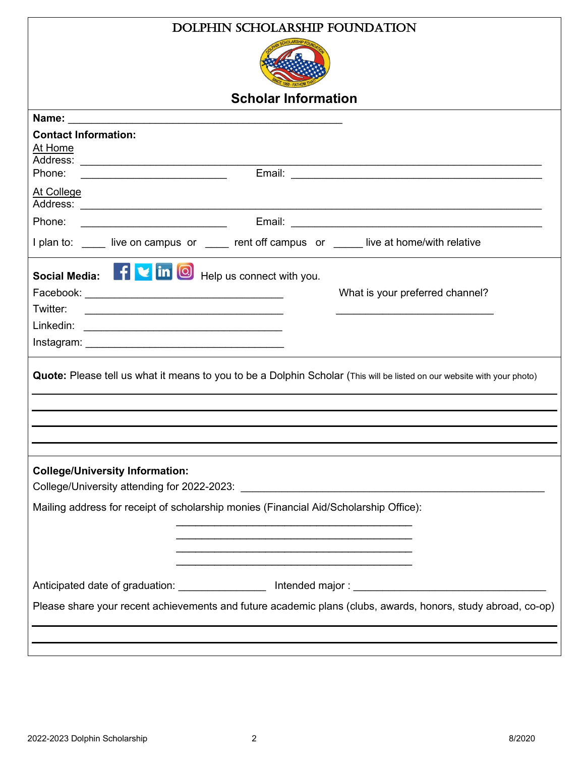| DOLPHIN SCHOLARSHIP FOUNDATION                                                                                                                                                                                                             |  |  |
|--------------------------------------------------------------------------------------------------------------------------------------------------------------------------------------------------------------------------------------------|--|--|
|                                                                                                                                                                                                                                            |  |  |
| <b>Scholar Information</b>                                                                                                                                                                                                                 |  |  |
|                                                                                                                                                                                                                                            |  |  |
| <b>Contact Information:</b><br>At Home                                                                                                                                                                                                     |  |  |
| Phone:<br><u> 1989 - Johann Barn, mars ann an t-Amhain ann an t-Amhain an t-Amhain an t-Amhain an t-Amhain an t-Amhain an t-</u>                                                                                                           |  |  |
| At College                                                                                                                                                                                                                                 |  |  |
| Phone:                                                                                                                                                                                                                                     |  |  |
| I plan to: _____ live on campus or _____ rent off campus or _____ live at home/with relative                                                                                                                                               |  |  |
| Social Media: <b>Fiving</b> in <b>O</b> Help us connect with you.<br>What is your preferred channel?<br>Twitter:<br><u> 1989 - Johann Stoff, deutscher Stoffen und der Stoffen und der Stoffen und der Stoffen und der Stoffen und der</u> |  |  |
|                                                                                                                                                                                                                                            |  |  |
|                                                                                                                                                                                                                                            |  |  |
| Quote: Please tell us what it means to you to be a Dolphin Scholar (This will be listed on our website with your photo)                                                                                                                    |  |  |
| <b>College/University Information:</b>                                                                                                                                                                                                     |  |  |
| Mailing address for receipt of scholarship monies (Financial Aid/Scholarship Office):                                                                                                                                                      |  |  |
| <u> 1989 - Johann Stoff, amerikansk politiker (d. 1989)</u>                                                                                                                                                                                |  |  |
|                                                                                                                                                                                                                                            |  |  |
| Please share your recent achievements and future academic plans (clubs, awards, honors, study abroad, co-op)                                                                                                                               |  |  |
|                                                                                                                                                                                                                                            |  |  |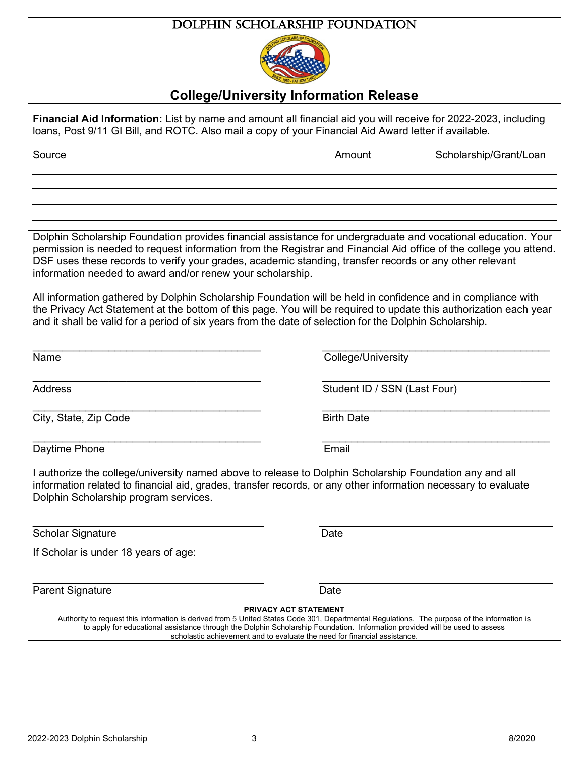#### Dolphin Scholarship Foundation



### **College/University Information Release**

**Financial Aid Information:** List by name and amount all financial aid you will receive for 2022-2023, including loans, Post 9/11 GI Bill, and ROTC. Also mail a copy of your Financial Aid Award letter if available. Source **Amount Scholarship/Grant/Loan** Dolphin Scholarship Foundation provides financial assistance for undergraduate and vocational education. Your permission is needed to request information from the Registrar and Financial Aid office of the college you attend. DSF uses these records to verify your grades, academic standing, transfer records or any other relevant information needed to award and/or renew your scholarship. All information gathered by Dolphin Scholarship Foundation will be held in confidence and in compliance with the Privacy Act Statement at the bottom of this page. You will be required to update this authorization each year and it shall be valid for a period of six years from the date of selection for the Dolphin Scholarship. \_\_\_\_\_\_\_\_\_\_\_\_\_\_\_\_\_\_\_\_\_\_\_\_\_\_\_\_\_\_\_\_\_\_\_\_\_\_\_ \_\_\_\_\_\_\_\_\_\_\_\_\_\_\_\_\_\_\_\_\_\_\_\_\_\_\_\_\_\_\_\_\_\_\_\_\_\_\_ Name College/University \_\_\_\_\_\_\_\_\_\_\_\_\_\_\_\_\_\_\_\_\_\_\_\_\_\_\_\_\_\_\_\_\_\_\_\_\_\_\_ \_\_\_\_\_\_\_\_\_\_\_\_\_\_\_\_\_\_\_\_\_\_\_\_\_\_\_\_\_\_\_\_\_\_\_\_\_\_\_ Address **Student ID / SSN (Last Four)** \_\_\_\_\_\_\_\_\_\_\_\_\_\_\_\_\_\_\_\_\_\_\_\_\_\_\_\_\_\_\_\_\_\_\_\_\_\_\_ \_\_\_\_\_\_\_\_\_\_\_\_\_\_\_\_\_\_\_\_\_\_\_\_\_\_\_\_\_\_\_\_\_\_\_\_\_\_\_ **City, State, Zip Code** Birth Date  $\_$  , and the contribution of the contribution of  $\overline{\mathcal{L}}$  , and  $\overline{\mathcal{L}}$  , and  $\overline{\mathcal{L}}$  , and  $\overline{\mathcal{L}}$  , and  $\overline{\mathcal{L}}$ Daytime Phone **Email** I authorize the college/university named above to release to Dolphin Scholarship Foundation any and all information related to financial aid, grades, transfer records, or any other information necessary to evaluate Dolphin Scholarship program services.  $\overline{\phantom{a}}$  , and the contract of the contract of the contract of the contract of the contract of the contract of the contract of the contract of the contract of the contract of the contract of the contract of the contrac Scholar Signature Date Date If Scholar is under 18 years of age: \_\_\_\_\_\_\_\_\_\_\_\_\_\_ \_\_\_\_\_\_\_\_\_\_\_ \_\_\_\_\_\_ \_ \_\_\_\_\_\_\_\_\_\_ Parent Signature Date Date **PRIVACY ACT STATEMENT**

Authority to request this information is derived from 5 United States Code 301, Departmental Regulations. The purpose of the information is to apply for educational assistance through the Dolphin Scholarship Foundation. Information provided will be used to assess scholastic achievement and to evaluate the need for financial assistance.